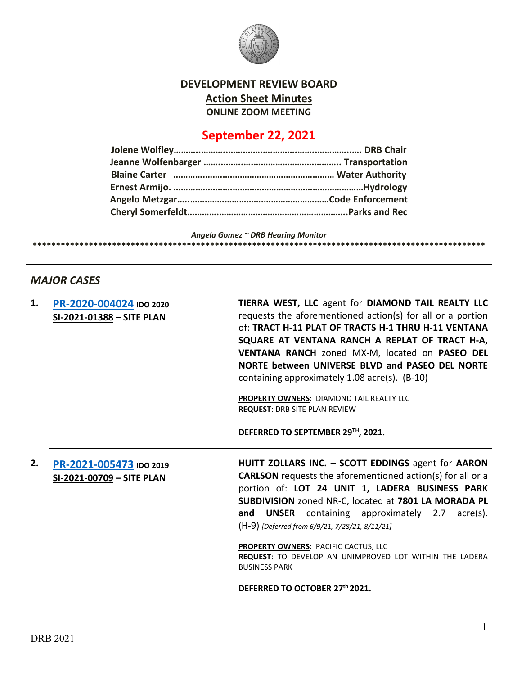

## **DEVELOPMENT REVIEW BOARD Action Sheet Minutes ONLINE ZOOM MEETING**

## **September 22, 2021**

*Angela Gomez ~ DRB Hearing Monitor* **\*\*\*\*\*\*\*\*\*\*\*\*\*\*\*\*\*\*\*\*\*\*\*\*\*\*\*\*\*\*\*\*\*\*\*\*\*\*\*\*\*\*\*\*\*\*\*\*\*\*\*\*\*\*\*\*\*\*\*\*\*\*\*\*\*\*\*\*\*\*\*\*\*\*\*\*\*\*\*\*\*\*\*\*\*\*\*\*\*\*\*\*\*\*\*\*\***

## *MAJOR CASES*

| 1. | PR-2020-004024 IDO 2020<br>SI-2021-01388 - SITE PLAN | TIERRA WEST, LLC agent for DIAMOND TAIL REALTY LLC<br>requests the aforementioned action(s) for all or a portion<br>of: TRACT H-11 PLAT OF TRACTS H-1 THRU H-11 VENTANA<br>SQUARE AT VENTANA RANCH A REPLAT OF TRACT H-A,<br>VENTANA RANCH zoned MX-M, located on PASEO DEL<br>NORTE between UNIVERSE BLVD and PASEO DEL NORTE<br>containing approximately 1.08 acre(s). (B-10)<br><b>PROPERTY OWNERS: DIAMOND TAIL REALTY LLC</b><br><b>REQUEST: DRB SITE PLAN REVIEW</b><br>DEFERRED TO SEPTEMBER 29TH, 2021. |
|----|------------------------------------------------------|-----------------------------------------------------------------------------------------------------------------------------------------------------------------------------------------------------------------------------------------------------------------------------------------------------------------------------------------------------------------------------------------------------------------------------------------------------------------------------------------------------------------|
| 2. | PR-2021-005473 IDO 2019<br>SI-2021-00709 - SITE PLAN | HUITT ZOLLARS INC. - SCOTT EDDINGS agent for AARON<br><b>CARLSON</b> requests the aforementioned action(s) for all or a<br>portion of: LOT 24 UNIT 1, LADERA BUSINESS PARK<br>SUBDIVISION zoned NR-C, located at 7801 LA MORADA PL<br>and UNSER containing approximately 2.7 acre(s).<br>(H-9) [Deferred from 6/9/21, 7/28/21, 8/11/21]<br><b>PROPERTY OWNERS: PACIFIC CACTUS, LLC</b><br>REQUEST: TO DEVELOP AN UNIMPROVED LOT WITHIN THE LADERA<br><b>BUSINESS PARK</b><br>DEFERRED TO OCTOBER 27th 2021.     |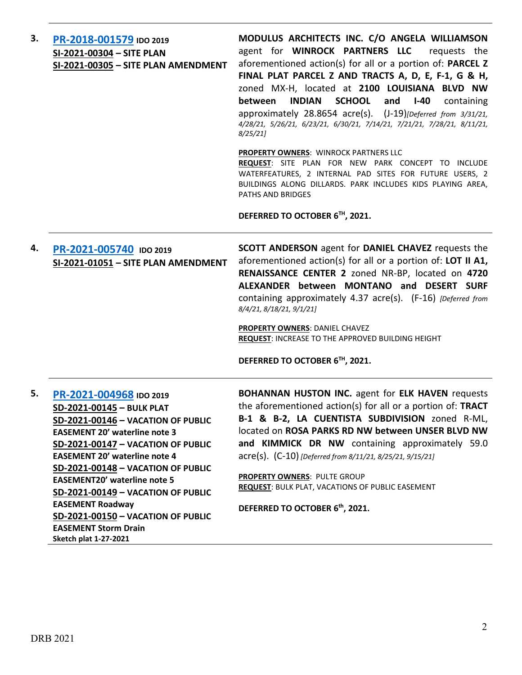| 3. | PR-2018-001579 IDO 2019<br>SI-2021-00304 - SITE PLAN<br>SI-2021-00305 - SITE PLAN AMENDMENT                                                                                                                                                                                                                                                                                                                                                                  | MODULUS ARCHITECTS INC. C/O ANGELA WILLIAMSON<br>agent for WINROCK PARTNERS LLC<br>requests the<br>aforementioned action(s) for all or a portion of: PARCEL Z<br>FINAL PLAT PARCEL Z AND TRACTS A, D, E, F-1, G & H,<br>zoned MX-H, located at 2100 LOUISIANA BLVD NW<br><b>INDIAN</b><br><b>SCHOOL</b><br>between<br>and<br>$I-40$<br>containing<br>approximately 28.8654 acre(s). (J-19)[Deferred from 3/31/21,<br>4/28/21, 5/26/21, 6/23/21, 6/30/21, 7/14/21, 7/21/21, 7/28/21, 8/11/21,<br>8/25/21<br><b>PROPERTY OWNERS: WINROCK PARTNERS LLC</b><br>REQUEST: SITE PLAN FOR NEW PARK CONCEPT TO INCLUDE<br>WATERFEATURES, 2 INTERNAL PAD SITES FOR FUTURE USERS, 2<br>BUILDINGS ALONG DILLARDS. PARK INCLUDES KIDS PLAYING AREA,<br>PATHS AND BRIDGES<br>DEFERRED TO OCTOBER 6TH, 2021. |
|----|--------------------------------------------------------------------------------------------------------------------------------------------------------------------------------------------------------------------------------------------------------------------------------------------------------------------------------------------------------------------------------------------------------------------------------------------------------------|-----------------------------------------------------------------------------------------------------------------------------------------------------------------------------------------------------------------------------------------------------------------------------------------------------------------------------------------------------------------------------------------------------------------------------------------------------------------------------------------------------------------------------------------------------------------------------------------------------------------------------------------------------------------------------------------------------------------------------------------------------------------------------------------------|
| 4. | PR-2021-005740 IDO 2019<br>SI-2021-01051 - SITE PLAN AMENDMENT                                                                                                                                                                                                                                                                                                                                                                                               | <b>SCOTT ANDERSON</b> agent for <b>DANIEL CHAVEZ</b> requests the<br>aforementioned action(s) for all or a portion of: LOT II A1,<br>RENAISSANCE CENTER 2 zoned NR-BP, located on 4720<br>ALEXANDER between MONTANO and DESERT SURF<br>containing approximately 4.37 acre(s). (F-16) [Deferred from<br>8/4/21, 8/18/21, 9/1/21]<br>PROPERTY OWNERS: DANIEL CHAVEZ<br>REQUEST: INCREASE TO THE APPROVED BUILDING HEIGHT<br>DEFERRED TO OCTOBER 6TH, 2021.                                                                                                                                                                                                                                                                                                                                      |
| 5. | PR-2021-004968 IDO 2019<br>SD-2021-00145 - BULK PLAT<br>SD-2021-00146 - VACATION OF PUBLIC<br><b>EASEMENT 20' waterline note 3</b><br>SD-2021-00147 - VACATION OF PUBLIC<br><b>EASEMENT 20' waterline note 4</b><br>SD-2021-00148 - VACATION OF PUBLIC<br><b>EASEMENT20' waterline note 5</b><br>SD-2021-00149 - VACATION OF PUBLIC<br><b>EASEMENT Roadway</b><br>SD-2021-00150 - VACATION OF PUBLIC<br><b>EASEMENT Storm Drain</b><br>Sketch plat 1-27-2021 | <b>BOHANNAN HUSTON INC.</b> agent for <b>ELK HAVEN</b> requests<br>the aforementioned action(s) for all or a portion of: TRACT<br>B-1 & B-2, LA CUENTISTA SUBDIVISION zoned R-ML,<br>located on ROSA PARKS RD NW between UNSER BLVD NW<br>and KIMMICK DR NW containing approximately 59.0<br>acre(s). (C-10) [Deferred from 8/11/21, 8/25/21, 9/15/21]<br>PROPERTY OWNERS: PULTE GROUP<br><b>REQUEST: BULK PLAT, VACATIONS OF PUBLIC EASEMENT</b><br>DEFERRED TO OCTOBER 6th, 2021.                                                                                                                                                                                                                                                                                                           |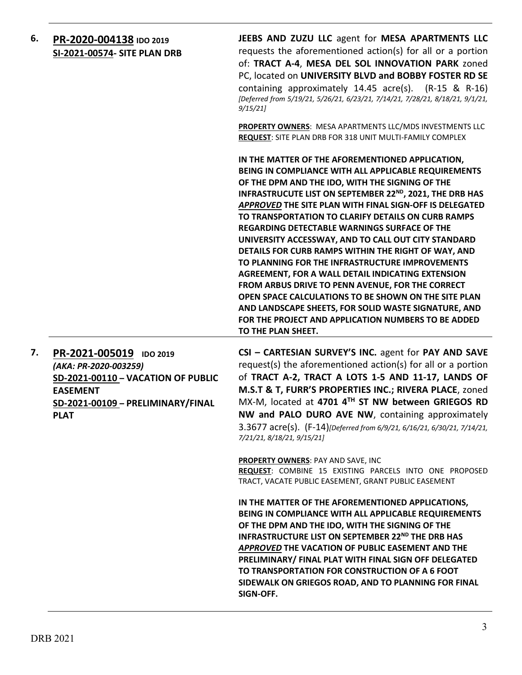| 6. | PR-2020-004138 IDO 2019<br>SI-2021-00574- SITE PLAN DRB                                                       | JEEBS AND ZUZU LLC agent for MESA APARTMENTS LLC<br>requests the aforementioned action(s) for all or a portion<br>of: TRACT A-4, MESA DEL SOL INNOVATION PARK zoned<br>PC, located on UNIVERSITY BLVD and BOBBY FOSTER RD SE<br>containing approximately 14.45 acre(s). (R-15 & R-16)<br>[Deferred from 5/19/21, 5/26/21, 6/23/21, 7/14/21, 7/28/21, 8/18/21, 9/1/21,<br>9/15/21                                                                                                                                                                                                                                                                                                                                                                                                                                                                                                   |
|----|---------------------------------------------------------------------------------------------------------------|------------------------------------------------------------------------------------------------------------------------------------------------------------------------------------------------------------------------------------------------------------------------------------------------------------------------------------------------------------------------------------------------------------------------------------------------------------------------------------------------------------------------------------------------------------------------------------------------------------------------------------------------------------------------------------------------------------------------------------------------------------------------------------------------------------------------------------------------------------------------------------|
|    |                                                                                                               | <b>PROPERTY OWNERS: MESA APARTMENTS LLC/MDS INVESTMENTS LLC</b><br>REQUEST: SITE PLAN DRB FOR 318 UNIT MULTI-FAMILY COMPLEX                                                                                                                                                                                                                                                                                                                                                                                                                                                                                                                                                                                                                                                                                                                                                        |
|    |                                                                                                               | IN THE MATTER OF THE AFOREMENTIONED APPLICATION,<br>BEING IN COMPLIANCE WITH ALL APPLICABLE REQUIREMENTS<br>OF THE DPM AND THE IDO, WITH THE SIGNING OF THE<br>INFRASTRUCUTE LIST ON SEPTEMBER 22 <sup>ND</sup> , 2021, THE DRB HAS<br>APPROVED THE SITE PLAN WITH FINAL SIGN-OFF IS DELEGATED<br>TO TRANSPORTATION TO CLARIFY DETAILS ON CURB RAMPS<br><b>REGARDING DETECTABLE WARNINGS SURFACE OF THE</b><br>UNIVERSITY ACCESSWAY, AND TO CALL OUT CITY STANDARD<br>DETAILS FOR CURB RAMPS WITHIN THE RIGHT OF WAY, AND<br>TO PLANNING FOR THE INFRASTRUCTURE IMPROVEMENTS<br>AGREEMENT, FOR A WALL DETAIL INDICATING EXTENSION<br>FROM ARBUS DRIVE TO PENN AVENUE, FOR THE CORRECT<br>OPEN SPACE CALCULATIONS TO BE SHOWN ON THE SITE PLAN<br>AND LANDSCAPE SHEETS, FOR SOLID WASTE SIGNATURE, AND<br>FOR THE PROJECT AND APPLICATION NUMBERS TO BE ADDED<br>TO THE PLAN SHEET. |
| 7. | PR-2021-005019 IDO 2019<br>(AKA: PR-2020-003259)<br>SD-2021-00110 - VACATION OF PUBLIC<br>- 8 6 5 8 8 5 8 1 7 | CSI - CARTESIAN SURVEY'S INC. agent for PAY AND SAVE<br>request(s) the aforementioned action(s) for all or a portion<br>of TRACT A-2, TRACT A LOTS 1-5 AND 11-17, LANDS OF<br>MCTOT FUDD'C DDODEDTIEC INC . DIVEDA DLACE zonod                                                                                                                                                                                                                                                                                                                                                                                                                                                                                                                                                                                                                                                     |

**EASEMENT SD-2021-00109 – PRELIMINARY/FINAL PLAT**

**M.S.T & T, FURR'S PROPERTIES INC.; RIVERA PLACE**, zoned MX-M, located at **4701 4TH ST NW between GRIEGOS RD NW and PALO DURO AVE NW**, containing approximately 3.3677 acre(s). (F-14)*[Deferred from 6/9/21, 6/16/21, 6/30/21, 7/14/21, 7/21/21, 8/18/21, 9/15/21]*

**PROPERTY OWNERS**: PAY AND SAVE, INC

**REQUEST**: COMBINE 15 EXISTING PARCELS INTO ONE PROPOSED TRACT, VACATE PUBLIC EASEMENT, GRANT PUBLIC EASEMENT

**IN THE MATTER OF THE AFOREMENTIONED APPLICATIONS, BEING IN COMPLIANCE WITH ALL APPLICABLE REQUIREMENTS OF THE DPM AND THE IDO, WITH THE SIGNING OF THE INFRASTRUCTURE LIST ON SEPTEMBER 22<sup>ND</sup> THE DRB HAS** *APPROVED* **THE VACATION OF PUBLIC EASEMENT AND THE PRELIMINARY/ FINAL PLAT WITH FINAL SIGN OFF DELEGATED TO TRANSPORTATION FOR CONSTRUCTION OF A 6 FOOT SIDEWALK ON GRIEGOS ROAD, AND TO PLANNING FOR FINAL SIGN-OFF.**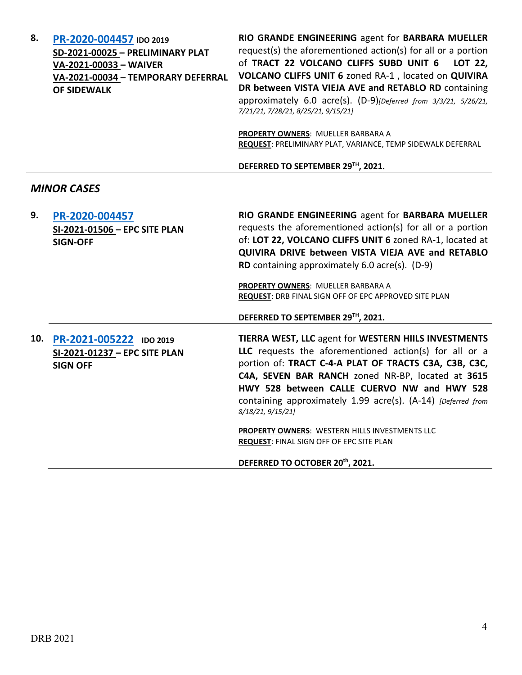| 8.  | PR-2020-004457 IDO 2019<br>SD-2021-00025 - PRELIMINARY PLAT<br>VA-2021-00033 - WAIVER<br>VA-2021-00034 - TEMPORARY DEFERRAL<br><b>OF SIDEWALK</b> | RIO GRANDE ENGINEERING agent for BARBARA MUELLER<br>request(s) the aforementioned action(s) for all or a portion<br>of TRACT 22 VOLCANO CLIFFS SUBD UNIT 6<br>LOT 22,<br>VOLCANO CLIFFS UNIT 6 zoned RA-1, located on QUIVIRA<br>DR between VISTA VIEJA AVE and RETABLO RD containing<br>approximately 6.0 acre(s). (D-9)[Deferred from 3/3/21, 5/26/21,<br>7/21/21, 7/28/21, 8/25/21, 9/15/21]<br>PROPERTY OWNERS: MUELLER BARBARA A                                                                    |
|-----|---------------------------------------------------------------------------------------------------------------------------------------------------|----------------------------------------------------------------------------------------------------------------------------------------------------------------------------------------------------------------------------------------------------------------------------------------------------------------------------------------------------------------------------------------------------------------------------------------------------------------------------------------------------------|
|     |                                                                                                                                                   | REQUEST: PRELIMINARY PLAT, VARIANCE, TEMP SIDEWALK DEFERRAL                                                                                                                                                                                                                                                                                                                                                                                                                                              |
|     |                                                                                                                                                   | DEFERRED TO SEPTEMBER 29TH, 2021.                                                                                                                                                                                                                                                                                                                                                                                                                                                                        |
|     | <b>MINOR CASES</b>                                                                                                                                |                                                                                                                                                                                                                                                                                                                                                                                                                                                                                                          |
| 9.  | PR-2020-004457<br>SI-2021-01506 - EPC SITE PLAN<br><b>SIGN-OFF</b>                                                                                | RIO GRANDE ENGINEERING agent for BARBARA MUELLER<br>requests the aforementioned action(s) for all or a portion<br>of: LOT 22, VOLCANO CLIFFS UNIT 6 zoned RA-1, located at<br>QUIVIRA DRIVE between VISTA VIEJA AVE and RETABLO<br>RD containing approximately 6.0 acre(s). (D-9)<br>PROPERTY OWNERS: MUELLER BARBARA A<br>REQUEST: DRB FINAL SIGN OFF OF EPC APPROVED SITE PLAN<br>DEFERRED TO SEPTEMBER 29TH, 2021.                                                                                    |
| 10. | PR-2021-005222 IDO 2019<br>SI-2021-01237 - EPC SITE PLAN<br><b>SIGN OFF</b>                                                                       | TIERRA WEST, LLC agent for WESTERN HIILS INVESTMENTS<br>LLC requests the aforementioned action(s) for all or a<br>portion of: TRACT C-4-A PLAT OF TRACTS C3A, C3B, C3C,<br>C4A, SEVEN BAR RANCH zoned NR-BP, located at 3615<br>HWY 528 between CALLE CUERVO NW and HWY 528<br>containing approximately 1.99 acre(s). (A-14) [Deferred from<br>8/18/21, 9/15/21]<br>PROPERTY OWNERS: WESTERN HILLS INVESTMENTS LLC<br><b>REQUEST: FINAL SIGN OFF OF EPC SITE PLAN</b><br>DEFERRED TO OCTOBER 20th, 2021. |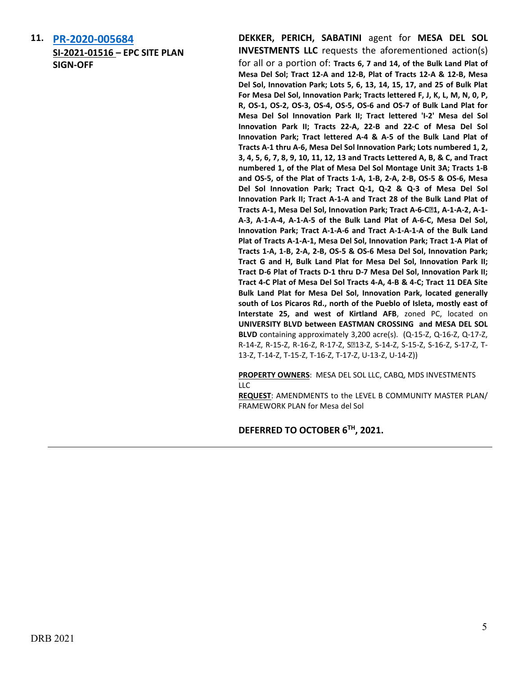**11. [PR-2020-005684](http://data.cabq.gov/government/planning/DRB/PR-2020-005684/DRB%20Submittals/PR-2020-005684_Sept_22_2021/Application/MdS%20Level%20B%20Amend%20-%20DRB%20%20Submittal%209.14.2021___.pdf) SI-2021-01516 – EPC SITE PLAN SIGN-OFF**

**DEKKER, PERICH, SABATINI** agent for **MESA DEL SOL INVESTMENTS LLC** requests the aforementioned action(s) for all or a portion of: **Tracts 6, 7 and 14, of the Bulk Land Plat of Mesa Del Sol; Tract 12-A and 12-B, Plat of Tracts 12-A & 12-B, Mesa Del Sol, Innovation Park; Lots 5, 6, 13, 14, 15, 17, and 25 of Bulk Plat For Mesa Del Sol, Innovation Park; Tracts lettered F, J, K, L, M, N, 0, P, R, OS-1, OS-2, OS-3, OS-4, OS-5, OS-6 and OS-7 of Bulk Land Plat for Mesa Del Sol Innovation Park II; Tract lettered 'I-2' Mesa del Sol Innovation Park II; Tracts 22-A, 22-B and 22-C of Mesa Del Sol Innovation Park; Tract lettered A-4 & A-5 of the Bulk Land Plat of Tracts A-1 thru A-6, Mesa Del Sol Innovation Park; Lots numbered 1, 2, 3, 4, 5, 6, 7, 8, 9, 10, 11, 12, 13 and Tracts Lettered A, B, & C, and Tract numbered 1, of the Plat of Mesa Del Sol Montage Unit 3A; Tracts 1-B and OS-5, of the Plat of Tracts 1-A, 1-B, 2-A, 2-B, OS-5 & OS-6, Mesa Del Sol Innovation Park; Tract Q-1, Q-2 & Q-3 of Mesa Del Sol Innovation Park II; Tract A-1-A and Tract 28 of the Bulk Land Plat of Tracts A-1, Mesa Del Sol, Innovation Park; Tract A-6-C-1, A-1-A-2, A-1- A-3, A-1-A-4, A-1-A-5 of the Bulk Land Plat of A-6-C, Mesa Del Sol, Innovation Park; Tract A-1-A-6 and Tract A-1-A-1-A of the Bulk Land Plat of Tracts A-1-A-1, Mesa Del Sol, Innovation Park; Tract 1-A Plat of Tracts 1-A, 1-B, 2-A, 2-B, OS-5 & OS-6 Mesa Del Sol, Innovation Park; Tract G and H, Bulk Land Plat for Mesa Del Sol, Innovation Park II; Tract D-6 Plat of Tracts D-1 thru D-7 Mesa Del Sol, Innovation Park II; Tract 4-C Plat of Mesa Del Sol Tracts 4-A, 4-B & 4-C; Tract 11 DEA Site Bulk Land Plat for Mesa Del Sol, Innovation Park, located generally south of Los Picaros Rd., north of the Pueblo of Isleta, mostly east of Interstate 25, and west of Kirtland AFB**, zoned PC, located on **UNIVERSITY BLVD between EASTMAN CROSSING and MESA DEL SOL BLVD** containing approximately 3,200 acre(s). (Q-15-Z, Q-16-Z, Q-17-Z, R-14-Z, R-15-Z, R-16-Z, R-17-Z, S213-Z, S-14-Z, S-15-Z, S-16-Z, S-17-Z, T-13-Z, T-14-Z, T-15-Z, T-16-Z, T-17-Z, U-13-Z, U-14-Z))

**PROPERTY OWNERS**: MESA DEL SOL LLC, CABQ, MDS INVESTMENTS LLC

**REQUEST**: AMENDMENTS to the LEVEL B COMMUNITY MASTER PLAN/ FRAMEWORK PLAN for Mesa del Sol

**DEFERRED TO OCTOBER 6TH, 2021.**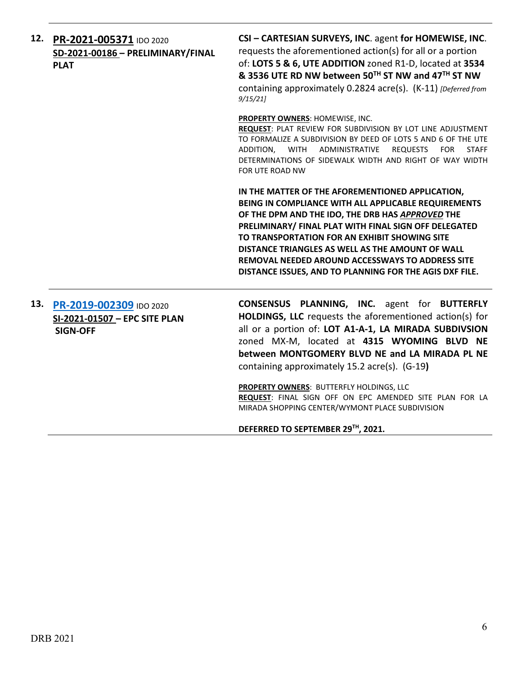|     | 12. PR-2021-005371 IDO 2020<br>SD-2021-00186 - PRELIMINARY/FINAL<br><b>PLAT</b> | CSI - CARTESIAN SURVEYS, INC. agent for HOMEWISE, INC.<br>requests the aforementioned action(s) for all or a portion<br>of: LOTS 5 & 6, UTE ADDITION zoned R1-D, located at 3534<br>& 3536 UTE RD NW between 50TH ST NW and 47TH ST NW<br>containing approximately 0.2824 acre(s). (K-11) [Deferred from<br>9/15/21                                                                                                                              |
|-----|---------------------------------------------------------------------------------|--------------------------------------------------------------------------------------------------------------------------------------------------------------------------------------------------------------------------------------------------------------------------------------------------------------------------------------------------------------------------------------------------------------------------------------------------|
|     |                                                                                 | PROPERTY OWNERS: HOMEWISE, INC.<br>REQUEST: PLAT REVIEW FOR SUBDIVISION BY LOT LINE ADJUSTMENT<br>TO FORMALIZE A SUBDIVISION BY DEED OF LOTS 5 AND 6 OF THE UTE<br>ADDITION.<br>WITH ADMINISTRATIVE<br><b>REQUESTS</b><br><b>FOR</b><br><b>STAFF</b><br>DETERMINATIONS OF SIDEWALK WIDTH AND RIGHT OF WAY WIDTH<br>FOR UTE ROAD NW                                                                                                               |
|     |                                                                                 | IN THE MATTER OF THE AFOREMENTIONED APPLICATION,<br>BEING IN COMPLIANCE WITH ALL APPLICABLE REQUIREMENTS<br>OF THE DPM AND THE IDO, THE DRB HAS APPROVED THE<br>PRELIMINARY/ FINAL PLAT WITH FINAL SIGN OFF DELEGATED<br>TO TRANSPORTATION FOR AN EXHIBIT SHOWING SITE<br>DISTANCE TRIANGLES AS WELL AS THE AMOUNT OF WALL<br><b>REMOVAL NEEDED AROUND ACCESSWAYS TO ADDRESS SITE</b><br>DISTANCE ISSUES, AND TO PLANNING FOR THE AGIS DXF FILE. |
| 13. | PR-2019-002309 IDO 2020<br>SI-2021-01507 - EPC SITE PLAN<br><b>SIGN-OFF</b>     | <b>CONSENSUS PLANNING, INC.</b> agent for <b>BUTTERFLY</b><br>HOLDINGS, LLC requests the aforementioned action(s) for<br>all or a portion of: LOT A1-A-1, LA MIRADA SUBDIVSION<br>zoned MX-M, located at 4315 WYOMING BLVD NE<br>between MONTGOMERY BLVD NE and LA MIRADA PL NE<br>containing approximately 15.2 acre(s). (G-19)                                                                                                                 |
|     |                                                                                 | PROPERTY OWNERS: BUTTERFLY HOLDINGS, LLC<br>REQUEST: FINAL SIGN OFF ON EPC AMENDED SITE PLAN FOR LA<br>MIRADA SHOPPING CENTER/WYMONT PLACE SUBDIVISION                                                                                                                                                                                                                                                                                           |

**DEFERRED TO SEPTEMBER 29TH, 2021.**